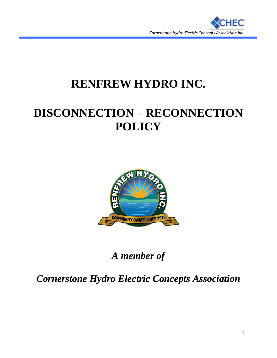

## **RENFREW HYDRO INC.**

# **DISCONNECTION – RECONNECTION POLICY**



*A member of*

*Cornerstone Hydro Electric Concepts Association*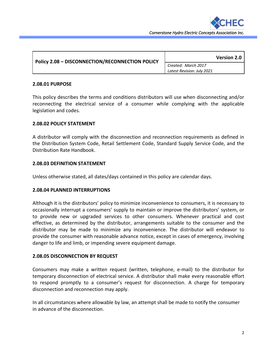

| <b>Policy 2.08 - DISCONNECTION/RECONNECTION POLICY</b> | <b>Version 2.0</b>                                |
|--------------------------------------------------------|---------------------------------------------------|
|                                                        | Created: March 2017<br>Latest Revision: July 2021 |

#### **2.08.01 PURPOSE**

This policy describes the terms and conditions distributors will use when disconnecting and/or reconnecting the electrical service of a consumer while complying with the applicable legislation and codes.

#### **2.08.02 POLICY STATEMENT**

A distributor will comply with the disconnection and reconnection requirements as defined in the Distribution System Code, Retail Settlement Code, Standard Supply Service Code, and the Distribution Rate Handbook.

#### **2.08.03 DEFINITION STATEMENT**

Unless otherwise stated, all dates/days contained in this policy are calendar days.

#### **2.08.04 PLANNED INTERRUPTIONS**

Although it is the distributors' policy to minimize inconvenience to consumers, it is necessary to occasionally interrupt a consumers' supply to maintain or improve the distributors' system, or to provide new or upgraded services to other consumers. Whenever practical and cost effective, as determined by the distributor, arrangements suitable to the consumer and the distributor may be made to minimize any inconvenience. The distributor will endeavor to provide the consumer with reasonable advance notice, except in cases of emergency, involving danger to life and limb, or impending severe equipment damage.

#### **2.08.05 DISCONNECTION BY REQUEST**

Consumers may make a written request (written, telephone, e-mail) to the distributor for temporary disconnection of electrical service. A distributor shall make every reasonable effort to respond promptly to a consumer's request for disconnection. A charge for temporary disconnection and reconnection may apply.

In all circumstances where allowable by law, an attempt shall be made to notify the consumer in advance of the disconnection.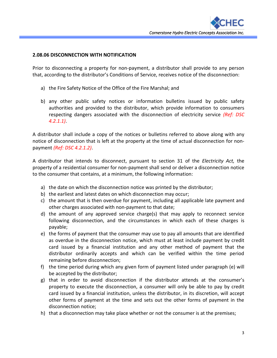

### **2.08.06 DISCONNECTION WITH NOTIFICATION**

Prior to disconnecting a property for non-payment, a distributor shall provide to any person that, according to the distributor's Conditions of Service, receives notice of the disconnection:

- a) the Fire Safety Notice of the Office of the Fire Marshal; and
- b) any other public safety notices or information bulletins issued by public safety authorities and provided to the distributor, which provide information to consumers respecting dangers associated with the disconnection of electricity service *(Ref: DSC 4.2.1.1)*.

A distributor shall include a copy of the notices or bulletins referred to above along with any notice of disconnection that is left at the property at the time of actual disconnection for nonpayment *(Ref: DSC 4.2.1.2)*.

A distributor that intends to disconnect, pursuant to section 31 of the *Electricity Act,* the property of a residential consumer for non-payment shall send or deliver a disconnection notice to the consumer that contains, at a minimum, the following information:

- a) the date on which the disconnection notice was printed by the distributor;
- b) the earliest and latest dates on which disconnection may occur;
- c) the amount that is then overdue for payment, including all applicable late payment and other charges associated with non-payment to that date;
- d) the amount of any approved service charge(s) that may apply to reconnect service following disconnection, and the circumstances in which each of these charges is payable;
- e) the forms of payment that the consumer may use to pay all amounts that are identified as overdue in the disconnection notice, which must at least include payment by credit card issued by a financial institution and any other method of payment that the distributor ordinarily accepts and which can be verified within the time period remaining before disconnection;
- f) the time period during which any given form of payment listed under paragraph (e) will be accepted by the distributor;
- g) that in order to avoid disconnection if the distributor attends at the consumer's property to execute the disconnection, a consumer will only be able to pay by credit card issued by a financial institution, unless the distributor, in its discretion, will accept other forms of payment at the time and sets out the other forms of payment in the disconnection notice;
- h) that a disconnection may take place whether or not the consumer is at the premises;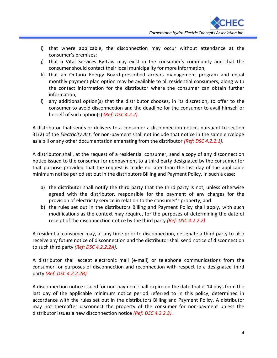- i) that where applicable, the disconnection may occur without attendance at the consumer's premises;
- j) that a Vital Services By-Law may exist in the consumer's community and that the consumer should contact their local municipality for more information;
- k) that an Ontario Energy Board-prescribed arrears management program and equal monthly payment plan option may be available to all residential consumers, along with the contact information for the distributor where the consumer can obtain further information;
- l) any additional option(s) that the distributor chooses, in its discretion, to offer to the consumer to avoid disconnection and the deadline for the consumer to avail himself or herself of such option(s) *(Ref: DSC 4.2.2)*.

A distributor that sends or delivers to a consumer a disconnection notice, pursuant to section 31(2) of the *Electricity Act*, for non-payment shall not include that notice in the same envelope as a bill or any other documentation emanating from the distributor *(Ref: DSC 4.2.2.1)*.

A distributor shall, at the request of a residential consumer, send a copy of any disconnection notice issued to the consumer for nonpayment to a third party designated by the consumer for that purpose provided that the request is made no later than the last day of the applicable minimum notice period set out in the distributors Billing and Payment Policy. In such a case:

- a) the distributor shall notify the third party that the third party is not, unless otherwise agreed with the distributor, responsible for the payment of any charges for the provision of electricity service in relation to the consumer's property; and
- b) the rules set out in the distributors Billing and Payment Policy shall apply, with such modifications as the context may require, for the purposes of determining the date of receipt of the disconnection notice by the third party *(Ref: DSC 4.2.2.2)*.

A residential consumer may, at any time prior to disconnection, designate a third party to also receive any future notice of disconnection and the distributor shall send notice of disconnection to such third party *(Ref: DSC 4.2.2.2A)*.

A distributor shall accept electronic mail (e-mail) or telephone communications from the consumer for purposes of disconnection and reconnection with respect to a designated third party *(Ref: DSC 4.2.2.2B)*.

A disconnection notice issued for non-payment shall expire on the date that is 14 days from the last day of the applicable minimum notice period referred to in this policy, determined in accordance with the rules set out in the distributors Billing and Payment Policy. A distributor may not thereafter disconnect the property of the consumer for non-payment unless the distributor issues a new disconnection notice *(Ref: DSC 4.2.2.3)*.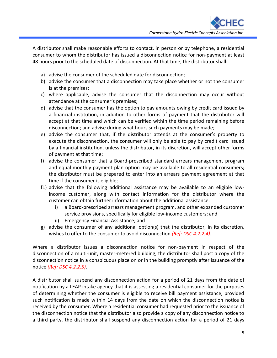A distributor shall make reasonable efforts to contact, in person or by telephone, a residential consumer to whom the distributor has issued a disconnection notice for non-payment at least 48 hours prior to the scheduled date of disconnection. At that time, the distributor shall:

- a) advise the consumer of the scheduled date for disconnection;
- b) advise the consumer that a disconnection may take place whether or not the consumer is at the premises;
- c) where applicable, advise the consumer that the disconnection may occur without attendance at the consumer's premises;
- d) advise that the consumer has the option to pay amounts owing by credit card issued by a financial institution, in addition to other forms of payment that the distributor will accept at that time and which can be verified within the time period remaining before disconnection; and advise during what hours such payments may be made;
- e) advise the consumer that, if the distributor attends at the consumer's property to execute the disconnection, the consumer will only be able to pay by credit card issued by a financial institution, unless the distributor, in its discretion, will accept other forms of payment at that time;
- f) advise the consumer that a Board-prescribed standard arrears management program and equal monthly payment plan option may be available to all residential consumers; the distributor must be prepared to enter into an arrears payment agreement at that time if the consumer is eligible;
- f1) advise that the following additional assistance may be available to an eligible lowincome customer, along with contact information for the distributor where the customer can obtain further information about the additional assistance:
	- i) a Board-prescribed arrears management program, and other expanded customer service provisions, specifically for eligible low-income customers; and
	- ii) Emergency Financial Assistance; and
- g) advise the consumer of any additional option(s) that the distributor, in its discretion, wishes to offer to the consumer to avoid disconnection *(Ref: DSC 4.2.2.4)*.

Where a distributor issues a disconnection notice for non-payment in respect of the disconnection of a multi-unit, master-metered building, the distributor shall post a copy of the disconnection notice in a conspicuous place on or in the building promptly after issuance of the notice *(Ref: DSC 4.2.2.5)*.

A distributor shall suspend any disconnection action for a period of 21 days from the date of notification by a LEAP intake agency that it is assessing a residential consumer for the purposes of determining whether the consumer is eligible to receive bill payment assistance, provided such notification is made within 14 days from the date on which the disconnection notice is received by the consumer. Where a residential consumer had requested prior to the issuance of the disconnection notice that the distributor also provide a copy of any disconnection notice to a third party, the distributor shall suspend any disconnection action for a period of 21 days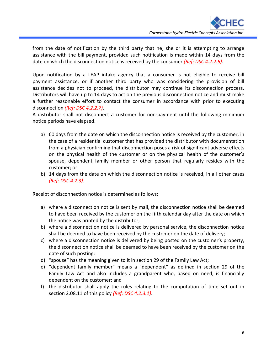from the date of notification by the third party that he, she or it is attempting to arrange assistance with the bill payment, provided such notification is made within 14 days from the date on which the disconnection notice is received by the consumer *(Ref: DSC 4.2.2.6)*.

Upon notification by a LEAP intake agency that a consumer is not eligible to receive bill payment assistance, or if another third party who was considering the provision of bill assistance decides not to proceed, the distributor may continue its disconnection process. Distributors will have up to 14 days to act on the previous disconnection notice and must make a further reasonable effort to contact the consumer in accordance with prior to executing disconnection *(Ref: DSC 4.2.2.7)*.

A distributor shall not disconnect a customer for non-payment until the following minimum notice periods have elapsed.

- a) 60 days from the date on which the disconnection notice is received by the customer, in the case of a residential customer that has provided the distributor with documentation from a physician confirming that disconnection poses a risk of significant adverse effects on the physical health of the customer or on the physical health of the customer's spouse, dependent family member or other person that regularly resides with the customer; or
- b) 14 days from the date on which the disconnection notice is received, in all other cases *(Ref: DSC 4.2.3)*.

Receipt of disconnection notice is determined as follows:

- a) where a disconnection notice is sent by mail, the disconnection notice shall be deemed to have been received by the customer on the fifth calendar day after the date on which the notice was printed by the distributor;
- b) where a disconnection notice is delivered by personal service, the disconnection notice shall be deemed to have been received by the customer on the date of delivery;
- c) where a disconnection notice is delivered by being posted on the customer's property, the disconnection notice shall be deemed to have been received by the customer on the date of such posting;
- d) "spouse" has the meaning given to it in section 29 of the Family Law Act;
- e) "dependent family member" means a "dependent" as defined in section 29 of the Family Law Act and also includes a grandparent who, based on need, is financially dependent on the customer; and
- f) the distributor shall apply the rules relating to the computation of time set out in section 2.08.11 of this policy *(Ref: DSC 4.2.3.1)*.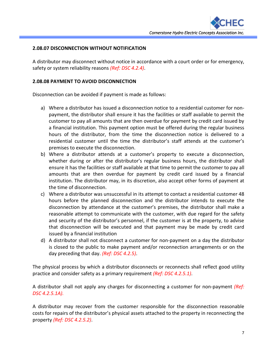## **2.08.07 DISCONNECTION WITHOUT NOTIFICATION**

A distributor may disconnect without notice in accordance with a court order or for emergency, safety or system reliability reasons *(Ref: DSC 4.2.4)*.

#### **2.08.08 PAYMENT TO AVOID DISCONNECTION**

Disconnection can be avoided if payment is made as follows:

- a) Where a distributor has issued a disconnection notice to a residential customer for nonpayment, the distributor shall ensure it has the facilities or staff available to permit the customer to pay all amounts that are then overdue for payment by credit card issued by a financial institution. This payment option must be offered during the regular business hours of the distributor, from the time the disconnection notice is delivered to a residential customer until the time the distributor's staff attends at the customer's premises to execute the disconnection.
- b) Where a distributor attends at a customer's property to execute a disconnection, whether during or after the distributor's regular business hours, the distributor shall ensure it has the facilities or staff available at that time to permit the customer to pay all amounts that are then overdue for payment by credit card issued by a financial institution. The distributor may, in its discretion, also accept other forms of payment at the time of disconnection.
- c) Where a distributor was unsuccessful in its attempt to contact a residential customer 48 hours before the planned disconnection and the distributor intends to execute the disconnection by attendance at the customer's premises, the distributor shall make a reasonable attempt to communicate with the customer, with due regard for the safety and security of the distributor's personnel, if the customer is at the property, to advise that disconnection will be executed and that payment may be made by credit card issued by a financial institution
- d) A distributor shall not disconnect a customer for non-payment on a day the distributor is closed to the public to make payment and/or reconnection arrangements or on the day preceding that day. *(Ref: DSC 4.2.5)*.

The physical process by which a distributor disconnects or reconnects shall reflect good utility practice and consider safety as a primary requirement *(Ref: DSC 4.2.5.1)*.

A distributor shall not apply any charges for disconnecting a customer for non-payment *(Ref: DSC 4.2.5.1A).*

A distributor may recover from the customer responsible for the disconnection reasonable costs for repairs of the distributor's physical assets attached to the property in reconnecting the property *(Ref: DSC 4.2.5.2)*.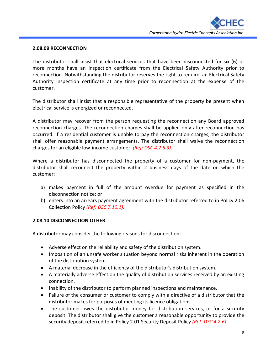

### **2.08.09 RECONNECTION**

The distributor shall insist that electrical services that have been disconnected for six (6) or more months have an inspection certificate from the Electrical Safety Authority prior to reconnection. Notwithstanding the distributor reserves the right to require, an Electrical Safety Authority inspection certificate at any time prior to reconnection at the expense of the customer.

The distributor shall insist that a responsible representative of the property be present when electrical service is energized or reconnected.

A distributor may recover from the person requesting the reconnection any Board approved reconnection charges. The reconnection charges shall be applied only after reconnection has occurred. If a residential customer is unable to pay the reconnection charges, the distributor shall offer reasonable payment arrangements. The distributor shall waive the reconnection charges for an eligible low-income customer. *(Ref: DSC 4.2.5.3)*.

Where a distributor has disconnected the property of a customer for non-payment, the distributor shall reconnect the property within 2 business days of the date on which the customer:

- a) makes payment in full of the amount overdue for payment as specified in the disconnection notice; or
- b) enters into an arrears payment agreement with the distributor referred to in Policy 2.06 Collection Policy *(Ref: DSC 7.10.1)*.

## **2.08.10 DISCONNECTION OTHER**

A distributor may consider the following reasons for disconnection:

- Adverse effect on the reliability and safety of the distribution system.
- Imposition of an unsafe worker situation beyond normal risks inherent in the operation of the distribution system.
- A material decrease in the efficiency of the distributor's distribution system.
- A materially adverse effect on the quality of distribution services received by an existing connection.
- Inability of the distributor to perform planned inspections and maintenance.
- Failure of the consumer or customer to comply with a directive of a distributor that the distributor makes for purposes of meeting its licence obligations.
- The customer owes the distributor money for distribution services, or for a security deposit. The distributor shall give the customer a reasonable opportunity to provide the security deposit referred to in Policy 2.01 Security Deposit Policy *(Ref: DSC 4.2.6)*.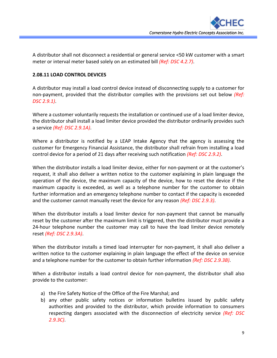A distributor shall not disconnect a residential or general service <50 kW customer with a smart meter or interval meter based solely on an estimated bill *(Ref: DSC 4.2.7)*.

## **2.08.11 LOAD CONTROL DEVICES**

A distributor may install a load control device instead of disconnecting supply to a customer for non-payment, provided that the distributor complies with the provisions set out below *(Ref: DSC 2.9.1)*.

Where a customer voluntarily requests the installation or continued use of a load limiter device, the distributor shall install a load limiter device provided the distributor ordinarily provides such a service *(Ref: DSC 2.9.1A)*.

Where a distributor is notified by a LEAP Intake Agency that the agency is assessing the customer for Emergency Financial Assistance, the distributor shall refrain from installing a load control device for a period of 21 days after receiving such notification *(Ref: DSC 2.9.2)*.

When the distributor installs a load limiter device, either for non-payment or at the customer's request, it shall also deliver a written notice to the customer explaining in plain language the operation of the device, the maximum capacity of the device, how to reset the device if the maximum capacity is exceeded, as well as a telephone number for the customer to obtain further information and an emergency telephone number to contact if the capacity is exceeded and the customer cannot manually reset the device for any reason *(Ref: DSC 2.9.3)*.

When the distributor installs a load limiter device for non-payment that cannot be manually reset by the customer after the maximum limit is triggered, then the distributor must provide a 24-hour telephone number the customer may call to have the load limiter device remotely reset *(Ref: DSC 2.9.3A)*.

When the distributor installs a timed load interrupter for non-payment, it shall also deliver a written notice to the customer explaining in plain language the effect of the device on service and a telephone number for the customer to obtain further information *(Ref: DSC 2.9.3B)*.

When a distributor installs a load control device for non-payment, the distributor shall also provide to the customer:

- a) the Fire Safety Notice of the Office of the Fire Marshal; and
- b) any other public safety notices or information bulletins issued by public safety authorities and provided to the distributor, which provide information to consumers respecting dangers associated with the disconnection of electricity service *(Ref: DSC 2.9.3C)*.